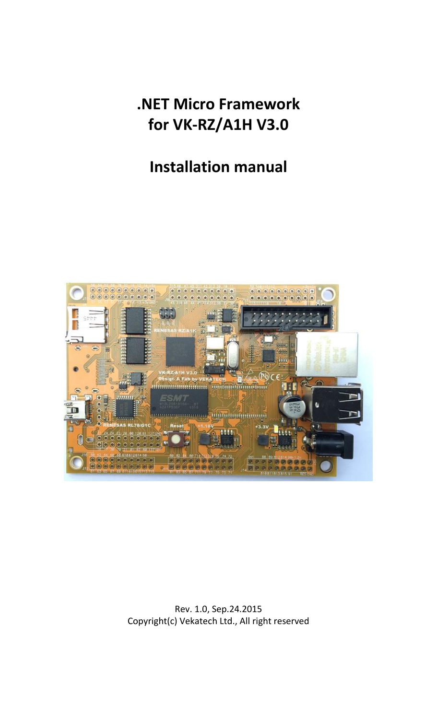# **.NET Micro Framework for VK-RZ/A1H V3.0**

## **Installation manual**



Rev. 1.0, Sep.24.2015 Copyright(c) Vekatech Ltd., All right reserved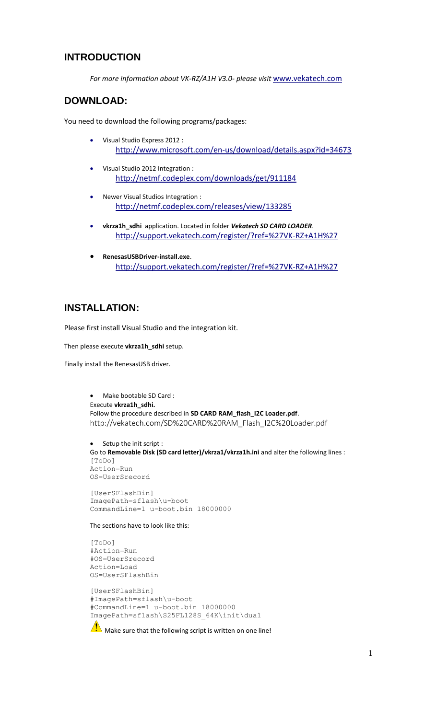### **INTRODUCTION**

*For more information about VK-RZ/A1H V3.0- please visit* [www.vekatech.com](http://www.renesas.eu/)

#### **DOWNLOAD:**

You need to download the following programs/packages:

- Visual Studio Express 2012 : <http://www.microsoft.com/en-us/download/details.aspx?id=34673>
- Visual Studio 2012 Integration : <http://netmf.codeplex.com/downloads/get/911184>
- Newer Visual Studios Integration : <http://netmf.codeplex.com/releases/view/133285>
- **vkrza1h\_sdhi** application. Located in folder *Vekatech SD CARD LOADER*. [http://support.vekatech.com/register/?ref=%27VK-RZ+A1H%27](http://support.vekatech.com/register/?ref=)
- **RenesasUSBDriver-install.exe**. [http://support.vekatech.com/register/?ref=%27VK-RZ+A1H%27](http://support.vekatech.com/register/?ref=)

### **INSTALLATION:**

Please first install Visual Studio and the integration kit.

Then please execute **vkrza1h\_sdhi** setup.

Finally install the RenesasUSB driver.

```
 Make bootable SD Card :
Execute vkrza1h_sdhi.
Follow the procedure described in SD CARD RAM_flash_I2C Loader.pdf.
http://vekatech.com/SD%20CARD%20RAM_Flash_I2C%20Loader.pdf
```

```
• Setup the init script :
Go to Removable Disk (SD card letter)/vkrza1/vkrza1h.ini and alter the following lines :
[ToDo]
Action=Run
OS=UserSrecord
```

```
[UserSFlashBin]
ImagePath=sflash\u-boot
CommandLine=1 u-boot.bin 18000000
```
The sections have to look like this:

```
[ToDo]
#Action=Run
#OS=UserSrecord
Action=Load
OS=UserSFlashBin
[UserSFlashBin]
#ImagePath=sflash\u-boot
#CommandLine=1 u-boot.bin 18000000
ImagePath=sflash\S25FL128S_64K\init\dual
\sqrt{\phantom{a}} Make sure that the following script is written on one line!
```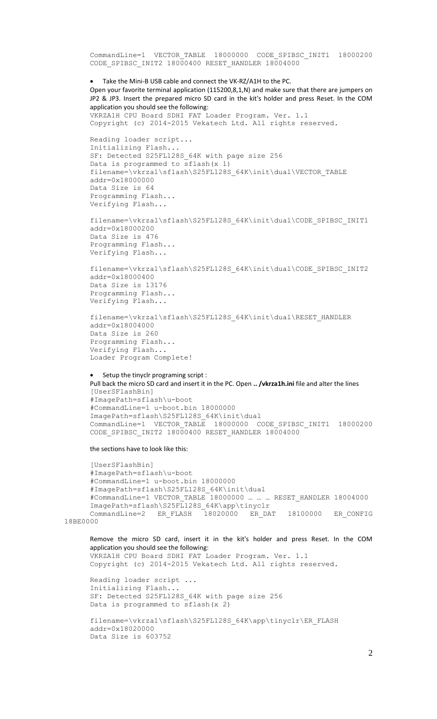CommandLine=1 VECTOR\_TABLE 18000000 CODE\_SPIBSC\_INIT1 18000200 CODE SPIBSC INIT2 18000400 RESET HANDLER 18004000

```
 Take the Mini-B USB cable and connect the VK-RZ/A1H to the PC. 
Open your favorite terminal application (115200,8,1,N) and make sure that there are jumpers on 
JP2 & JP3. Insert the prepared micro SD card in the kit's holder and press Reset. In the COM 
application you should see the following:
VKRZA1H CPU Board SDHI FAT Loader Program. Ver. 1.1
Copyright (c) 2014-2015 Vekatech Ltd. All rights reserved.
Reading loader script...
Initializing Flash.
SF: Detected S25FL128S 64K with page size 256
Data is programmed to sflash(x 1)
filename=\vkrza1\sflash\S25FL128S_64K\init\dual\VECTOR_TABLE
addr=0x18000000
Data Size is 64
Programming Flash...
Verifying Flash...
filename=\vkrza1\sflash\S25FL128S_64K\init\dual\CODE_SPIBSC_INIT1
addr=0x18000200
Data Size is 476
Programming Flash...
Verifying Flash...
filename=\vkrza1\sflash\S25FL128S_64K\init\dual\CODE_SPIBSC_INIT2
addr=0x18000400
Data Size is 13176
Programming Flash...
Verifying Flash...
filename=\vkrza1\sflash\S25FL128S_64K\init\dual\RESET_HANDLER
addr=0x18004000
Data Size is 260
Programming Flash...
Verifying Flash...
Loader Program Complete!
   Setup the tinyclr programing script :
Pull back the micro SD card and insert it in the PC. Open .. /vkrza1h.ini file and alter the lines
[UserSFlashBin]
#ImagePath=sflash\u-boot
#CommandLine=1 u-boot.bin 18000000
ImagePath=sflash\S25FL128S_64K\init\dual
CommandLine=1 VECTOR_TABLE 18000000 CODE_SPIBSC_INIT1 18000200
CODE SPIBSC INIT2 18000400 RESET HANDLER 18004000
```
#### the sections have to look like this:

```
[UserSFlashBin]
     #ImagePath=sflash\u-boot
     #CommandLine=1 u-boot.bin 18000000
      #ImagePath=sflash\S25FL128S_64K\init\dual
      #CommandLine=1 VECTOR_TABLE 18000000 … … … RESET_HANDLER 18004000
     ImagePath=sflash\S25FL128S_64K\app\tinyclr
     CommandLine=2 ER_FLASH 18020000 ER_DAT 18100000 ER_CONFIG 
18BE0000
```

```
Remove the micro SD card, insert it in the kit's holder and press Reset. In the COM 
application you should see the following:
VKRZA1H CPU Board SDHI FAT Loader Program. Ver. 1.1
Copyright (c) 2014-2015 Vekatech Ltd. All rights reserved.
Reading loader script ...
Initializing Flash...
SF: Detected S25FL128S_64K with page size 256
Data is programmed to sfloat(x 2)filename=\vkrza1\sflash\S25FL128S_64K\app\tinyclr\ER_FLASH
addr=0x18020000
Data Size is 603752
```